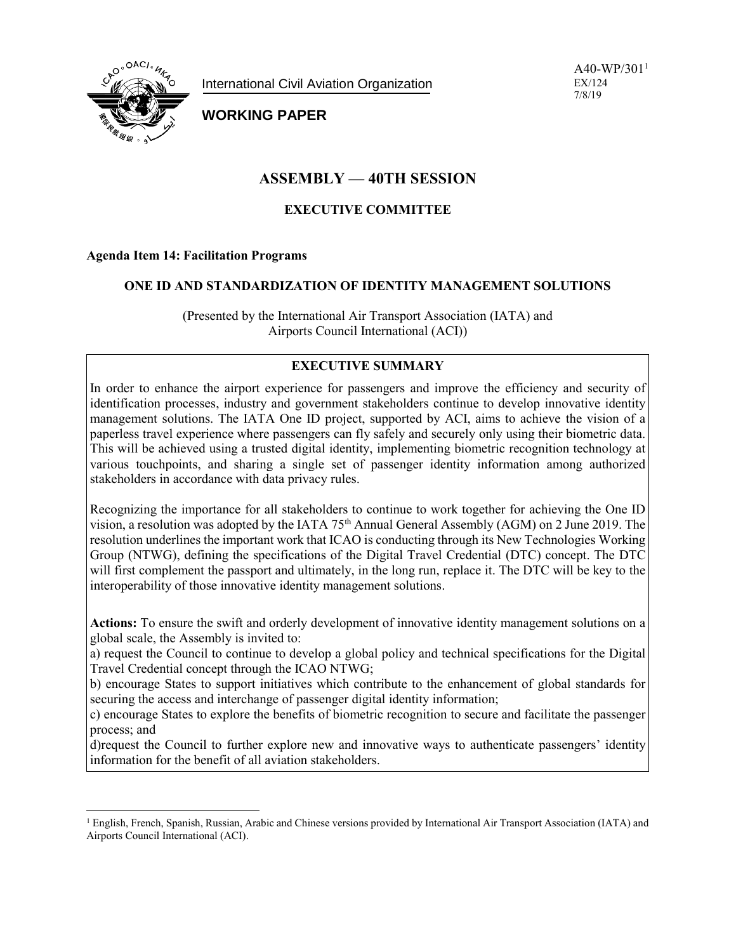

International Civil Aviation Organization

 $A40-WP/301<sup>1</sup>$ EX/124 7/8/19

# **WORKING PAPER**

# **ASSEMBLY — 40TH SESSION**

## **EXECUTIVE COMMITTEE**

### **Agenda Item 14: Facilitation Programs**

#### **ONE ID AND STANDARDIZATION OF IDENTITY MANAGEMENT SOLUTIONS**

(Presented by the International Air Transport Association (IATA) and Airports Council International (ACI))

### **EXECUTIVE SUMMARY**

In order to enhance the airport experience for passengers and improve the efficiency and security of identification processes, industry and government stakeholders continue to develop innovative identity management solutions. The IATA One ID project, supported by ACI, aims to achieve the vision of a paperless travel experience where passengers can fly safely and securely only using their biometric data. This will be achieved using a trusted digital identity, implementing biometric recognition technology at various touchpoints, and sharing a single set of passenger identity information among authorized stakeholders in accordance with data privacy rules.

Recognizing the importance for all stakeholders to continue to work together for achieving the One ID vision, a resolution was adopted by the IATA  $75<sup>th</sup>$  Annual General Assembly (AGM) on 2 June 2019. The resolution underlines the important work that ICAO is conducting through its New Technologies Working Group (NTWG), defining the specifications of the Digital Travel Credential (DTC) concept. The DTC will first complement the passport and ultimately, in the long run, replace it. The DTC will be key to the interoperability of those innovative identity management solutions.

**Actions:** To ensure the swift and orderly development of innovative identity management solutions on a global scale, the Assembly is invited to:

a) request the Council to continue to develop a global policy and technical specifications for the Digital Travel Credential concept through the ICAO NTWG;

b) encourage States to support initiatives which contribute to the enhancement of global standards for securing the access and interchange of passenger digital identity information;

c) encourage States to explore the benefits of biometric recognition to secure and facilitate the passenger process; and

d)request the Council to further explore new and innovative ways to authenticate passengers' identity information for the benefit of all aviation stakeholders.

 $\overline{a}$ <sup>1</sup> English, French, Spanish, Russian, Arabic and Chinese versions provided by International Air Transport Association (IATA) and Airports Council International (ACI).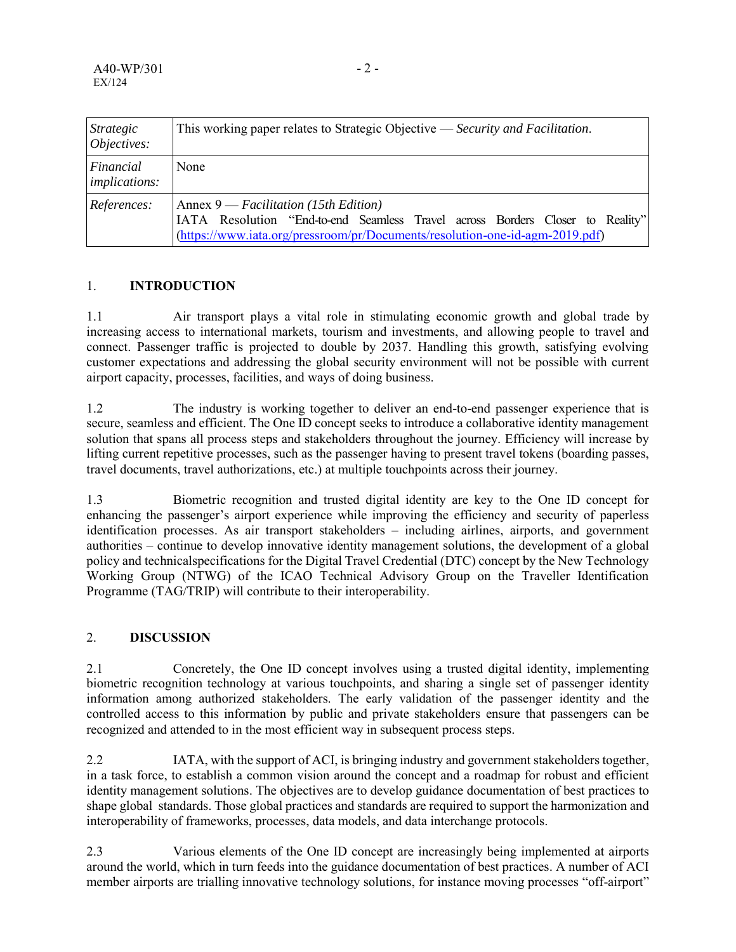| Strategic<br>Objectives:          | This working paper relates to Strategic Objective — Security and Facilitation.                                                                                                                           |
|-----------------------------------|----------------------------------------------------------------------------------------------------------------------------------------------------------------------------------------------------------|
| Financial<br><i>implications:</i> | None                                                                                                                                                                                                     |
| References:                       | Annex $9$ — Facilitation (15th Edition)<br>IATA Resolution "End-to-end Seamless Travel across Borders Closer to Reality"<br>(https://www.iata.org/pressroom/pr/Documents/resolution-one-id-agm-2019.pdf) |

## 1. **INTRODUCTION**

1.1 Air transport plays a vital role in stimulating economic growth and global trade by increasing access to international markets, tourism and investments, and allowing people to travel and connect. Passenger traffic is projected to double by 2037. Handling this growth, satisfying evolving customer expectations and addressing the global security environment will not be possible with current airport capacity, processes, facilities, and ways of doing business.

1.2 The industry is working together to deliver an end-to-end passenger experience that is secure, seamless and efficient. The One ID concept seeks to introduce a collaborative identity management solution that spans all process steps and stakeholders throughout the journey. Efficiency will increase by lifting current repetitive processes, such as the passenger having to present travel tokens (boarding passes, travel documents, travel authorizations, etc.) at multiple touchpoints across their journey.

1.3 Biometric recognition and trusted digital identity are key to the One ID concept for enhancing the passenger's airport experience while improving the efficiency and security of paperless identification processes. As air transport stakeholders – including airlines, airports, and government authorities – continue to develop innovative identity management solutions, the development of a global policy and technicalspecifications for the Digital Travel Credential (DTC) concept by the New Technology Working Group (NTWG) of the ICAO Technical Advisory Group on the Traveller Identification Programme (TAG/TRIP) will contribute to their interoperability.

## 2. **DISCUSSION**

2.1 Concretely, the One ID concept involves using a trusted digital identity, implementing biometric recognition technology at various touchpoints, and sharing a single set of passenger identity information among authorized stakeholders. The early validation of the passenger identity and the controlled access to this information by public and private stakeholders ensure that passengers can be recognized and attended to in the most efficient way in subsequent process steps.

2.2 IATA, with the support of ACI, is bringing industry and government stakeholders together, in a task force, to establish a common vision around the concept and a roadmap for robust and efficient identity management solutions. The objectives are to develop guidance documentation of best practices to shape global standards. Those global practices and standards are required to support the harmonization and interoperability of frameworks, processes, data models, and data interchange protocols.

2.3 Various elements of the One ID concept are increasingly being implemented at airports around the world, which in turn feeds into the guidance documentation of best practices. A number of ACI member airports are trialling innovative technology solutions, for instance moving processes "off-airport"